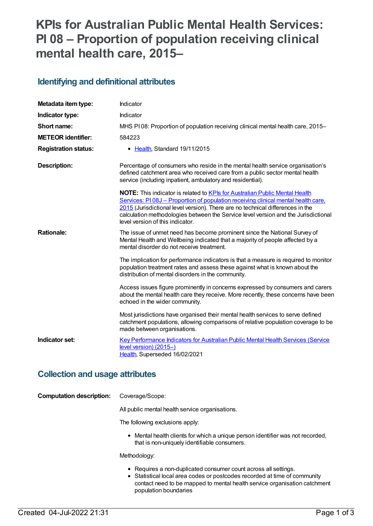# **KPIs for Australian Public Mental Health Services: PI 08 – Proportion of population receiving clinical mental health care, 2015–**

### **Identifying and definitional attributes**

| Metadata item type:         | Indicator                                                                                                                                                                                                                                                                                                                                                                    |
|-----------------------------|------------------------------------------------------------------------------------------------------------------------------------------------------------------------------------------------------------------------------------------------------------------------------------------------------------------------------------------------------------------------------|
| Indicator type:             | Indicator                                                                                                                                                                                                                                                                                                                                                                    |
| Short name:                 | MHS PI08: Proportion of population receiving clinical mental health care, 2015–                                                                                                                                                                                                                                                                                              |
| <b>METEOR identifier:</b>   | 584223                                                                                                                                                                                                                                                                                                                                                                       |
| <b>Registration status:</b> | • Health, Standard 19/11/2015                                                                                                                                                                                                                                                                                                                                                |
| <b>Description:</b>         | Percentage of consumers who reside in the mental health service organisation's<br>defined catchment area who received care from a public sector mental health<br>service (including inpatient, ambulatory and residential).                                                                                                                                                  |
|                             | NOTE: This indicator is related to KPIs for Australian Public Mental Health<br>Services: P108J – Proportion of population receiving clinical mental health care,<br>2015 (Jurisdictional level version). There are no technical differences in the<br>calculation methodologies between the Service level version and the Jurisdictional<br>level version of this indicator. |
| <b>Rationale:</b>           | The issue of unmet need has become prominent since the National Survey of<br>Mental Health and Wellbeing indicated that a majority of people affected by a<br>mental disorder do not receive treatment.                                                                                                                                                                      |
|                             | The implication for performance indicators is that a measure is required to monitor<br>population treatment rates and assess these against what is known about the<br>distribution of mental disorders in the community.                                                                                                                                                     |
|                             | Access issues figure prominently in concerns expressed by consumers and carers<br>about the mental health care they receive. More recently, these concerns have been<br>echoed in the wider community.                                                                                                                                                                       |
|                             | Most jurisdictions have organised their mental health services to serve defined<br>catchment populations, allowing comparisons of relative population coverage to be<br>made between organisations.                                                                                                                                                                          |
| Indicator set:              | Key Performance Indicators for Australian Public Mental Health Services (Service<br>level version) (2015-)<br>Health, Superseded 16/02/2021                                                                                                                                                                                                                                  |

### **Collection and usage attributes**

| <b>Computation description:</b> | Coverage/Scope: |
|---------------------------------|-----------------|
|---------------------------------|-----------------|

All public mental health service organisations.

The following exclusions apply:

Mental health clients for which a unique person identifier was not recorded, that is non-uniquely identifiable consumers.

Methodology:

- Requires a non-duplicated consumer count across all settings.
- Statistical local area codes or postcodes recorded at time of community contact need to be mapped to mental health service organisation catchment population boundaries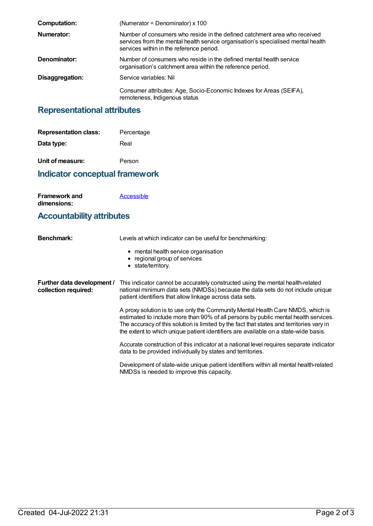| <b>Computation:</b> | (Numerator $\div$ Denominator) x 100                                                                                                                                                                      |
|---------------------|-----------------------------------------------------------------------------------------------------------------------------------------------------------------------------------------------------------|
| Numerator:          | Number of consumers who reside in the defined catchment area who received<br>services from the mental health service organisation's specialised mental health<br>services within in the reference period. |
| Denominator:        | Number of consumers who reside in the defined mental health service<br>organisation's catchment area within the reference period.                                                                         |
| Disaggregation:     | Service variables: Nil                                                                                                                                                                                    |
|                     | Consumer attributes: Age, Socio-Economic Indexes for Areas (SEIFA),<br>remoteness, Indigenous status                                                                                                      |

# **Representational attributes**

| <b>Representation class:</b>            | Percentage |
|-----------------------------------------|------------|
| Data type:                              | Real       |
| Unit of measure:                        | Person     |
| the different contractors and contracts |            |

**Indicator conceptual framework**

**Framework and dimensions: [Accessible](https://meteor.aihw.gov.au/content/584868)** 

### **Accountability attributes**

| <b>Benchmark:</b>                                  | Levels at which indicator can be useful for benchmarking:                                                                                                                                                                                                                                                                                                 |
|----------------------------------------------------|-----------------------------------------------------------------------------------------------------------------------------------------------------------------------------------------------------------------------------------------------------------------------------------------------------------------------------------------------------------|
|                                                    | • mental health service organisation<br>• regional group of services<br>• state/territory.                                                                                                                                                                                                                                                                |
| Further data development /<br>collection required: | This indicator cannot be accurately constructed using the mental health-related<br>national minimum data sets (NMDSs) because the data sets do not include unique<br>patient identifiers that allow linkage across data sets.                                                                                                                             |
|                                                    | A proxy solution is to use only the Community Mental Health Care NMDS, which is<br>estimated to include more than 90% of all persons by public mental health services.<br>The accuracy of this solution is limited by the fact that states and territories vary in<br>the extent to which unique patient identifiers are available on a state-wide basis. |
|                                                    | Accurate construction of this indicator at a national level requires separate indicator<br>data to be provided individually by states and territories.                                                                                                                                                                                                    |
|                                                    | Development of state-wide unique patient identifiers within all mental health-related<br>NMDSs is needed to improve this capacity.                                                                                                                                                                                                                        |